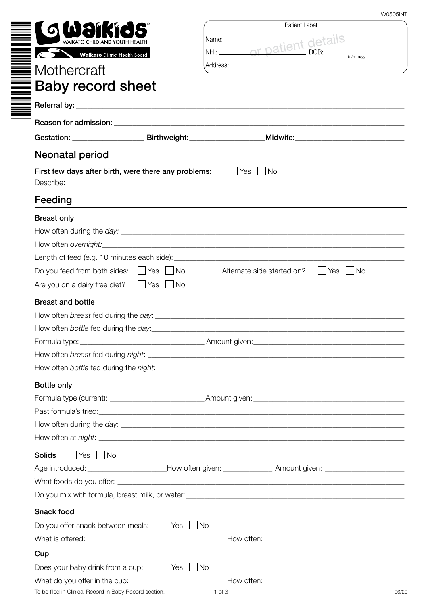| W0505INT |  |
|----------|--|

|                                                       | <b>W0505INT</b>                                                                                                                                                                                                                            |
|-------------------------------------------------------|--------------------------------------------------------------------------------------------------------------------------------------------------------------------------------------------------------------------------------------------|
|                                                       | Patient Label                                                                                                                                                                                                                              |
| WAIKATO CHILD AND YOUTH HEALTH                        | Name: Name<br><u> 1990 - Jan Jawa Barat, prima prima prima prima prima prima prima prima prima prima prima prima prima prima p</u>                                                                                                         |
| Waikato District Health Board                         | NHI: or patient<br>$\Box$ DOB:<br>$\overline{dd/mm/w}$                                                                                                                                                                                     |
| Mothercraft                                           |                                                                                                                                                                                                                                            |
| <b>Baby record sheet</b>                              |                                                                                                                                                                                                                                            |
|                                                       |                                                                                                                                                                                                                                            |
|                                                       |                                                                                                                                                                                                                                            |
|                                                       |                                                                                                                                                                                                                                            |
|                                                       | Gestation: _________________________Birthweight:__________________Midwife:__________________________                                                                                                                                       |
| <b>Neonatal period</b>                                |                                                                                                                                                                                                                                            |
| First few days after birth, were there any problems:  | Yes $\Box$<br>No.<br>$\mathbf{L}$                                                                                                                                                                                                          |
|                                                       |                                                                                                                                                                                                                                            |
| Feeding                                               | and the control of the control of the control of the control of the control of the control of the control of the                                                                                                                           |
| <b>Breast only</b>                                    |                                                                                                                                                                                                                                            |
|                                                       |                                                                                                                                                                                                                                            |
|                                                       |                                                                                                                                                                                                                                            |
|                                                       |                                                                                                                                                                                                                                            |
| Do you feed from both sides: $\Box$ Yes $\Box$ No     | Alternate side started on?<br>∣No<br>Yes                                                                                                                                                                                                   |
| Are you on a dairy free diet?<br>$\Box$ Yes $\Box$ No |                                                                                                                                                                                                                                            |
| <b>Breast and bottle</b>                              |                                                                                                                                                                                                                                            |
|                                                       |                                                                                                                                                                                                                                            |
|                                                       |                                                                                                                                                                                                                                            |
|                                                       |                                                                                                                                                                                                                                            |
|                                                       |                                                                                                                                                                                                                                            |
|                                                       |                                                                                                                                                                                                                                            |
| <b>Bottle only</b>                                    |                                                                                                                                                                                                                                            |
|                                                       |                                                                                                                                                                                                                                            |
|                                                       | Past formula's tried:<br><u> and</u> the contract of the contract of the contract of the contract of the contract of the contract of the contract of the contract of the contract of the contract of the contract of the contract of       |
|                                                       | How often during the <i>day</i> : <u>example and a series of the series of the series of the series of the series of the series of the series of the series of the series of the series of the series of the series of the series of t</u> |
|                                                       |                                                                                                                                                                                                                                            |
| $\vert$ Yes $\vert$ No<br><b>Solids</b>               |                                                                                                                                                                                                                                            |
|                                                       |                                                                                                                                                                                                                                            |
|                                                       |                                                                                                                                                                                                                                            |
|                                                       |                                                                                                                                                                                                                                            |
| Snack food                                            |                                                                                                                                                                                                                                            |
| Do you offer snack between meals:                     | Yes   No                                                                                                                                                                                                                                   |
|                                                       |                                                                                                                                                                                                                                            |
| Cup                                                   |                                                                                                                                                                                                                                            |
| Does your baby drink from a cup:                      | Yes   No                                                                                                                                                                                                                                   |
|                                                       |                                                                                                                                                                                                                                            |

To be filed in Clinical Record in Baby Record section.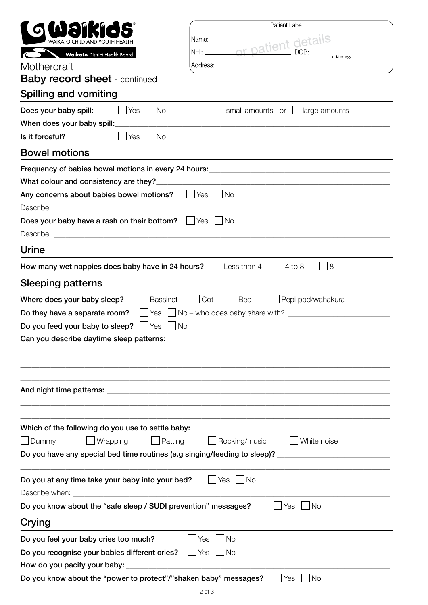| Patient Label                                                                                        |  |  |  |
|------------------------------------------------------------------------------------------------------|--|--|--|
|                                                                                                      |  |  |  |
| Name:______________<br>WAIKATO CHIID AND YOUTH HFAITH<br>DOB:                                        |  |  |  |
| <b>Waikato</b> District Health Board                                                                 |  |  |  |
| Mothercraft                                                                                          |  |  |  |
| <b>Baby record sheet</b> - continued                                                                 |  |  |  |
| <b>Spilling and vomiting</b>                                                                         |  |  |  |
| Does your baby spill:<br>Yes $ $<br>$\overline{\phantom{a}}$ No<br>small amounts or<br>large amounts |  |  |  |
| When does your baby spill: ________________                                                          |  |  |  |
| <b>No</b><br>Is it forceful?<br>Yes                                                                  |  |  |  |
| <b>Bowel motions</b>                                                                                 |  |  |  |
| Frequency of babies bowel motions in every 24 hours: ____________________________                    |  |  |  |
|                                                                                                      |  |  |  |
| Any concerns about babies bowel motions?<br>$\vert$ Yes $\vert$<br><b>No</b>                         |  |  |  |
|                                                                                                      |  |  |  |
| Does your baby have a rash on their bottom? Ves<br><b>No</b>                                         |  |  |  |
|                                                                                                      |  |  |  |
| <b>Urine</b>                                                                                         |  |  |  |
| $8+$<br>Less than 4<br>$4$ to $8$<br>How many wet nappies does baby have in 24 hours?                |  |  |  |
| <b>Sleeping patterns</b>                                                                             |  |  |  |
| Where does your baby sleep?<br>Cot<br>Pepi pod/wahakura<br><b>Bassinet</b><br><b>Bed</b>             |  |  |  |
| $Yes \Box No - who does baby share with?$<br>Do they have a separate room?                           |  |  |  |
| Do you feed your baby to sleep?<br>Yes<br>  No                                                       |  |  |  |
|                                                                                                      |  |  |  |
|                                                                                                      |  |  |  |
|                                                                                                      |  |  |  |
|                                                                                                      |  |  |  |
|                                                                                                      |  |  |  |
|                                                                                                      |  |  |  |
| Which of the following do you use to settle baby:                                                    |  |  |  |
| Wrapping<br>Dummy<br>Patting<br>Rocking/music<br>White noise                                         |  |  |  |
| Do you have any special bed time routines (e.g singing/feeding to sleep)? _________________________  |  |  |  |
|                                                                                                      |  |  |  |
| Do you at any time take your baby into your bed?<br>Yes<br>No.                                       |  |  |  |
|                                                                                                      |  |  |  |
| Do you know about the "safe sleep / SUDI prevention" messages?<br>No<br>Yes                          |  |  |  |
| Crying                                                                                               |  |  |  |
| <b>No</b><br>Do you feel your baby cries too much?<br>Yes                                            |  |  |  |
| Do you recognise your babies different cries?<br>$\Box$ Yes<br><b>No</b>                             |  |  |  |
|                                                                                                      |  |  |  |
|                                                                                                      |  |  |  |